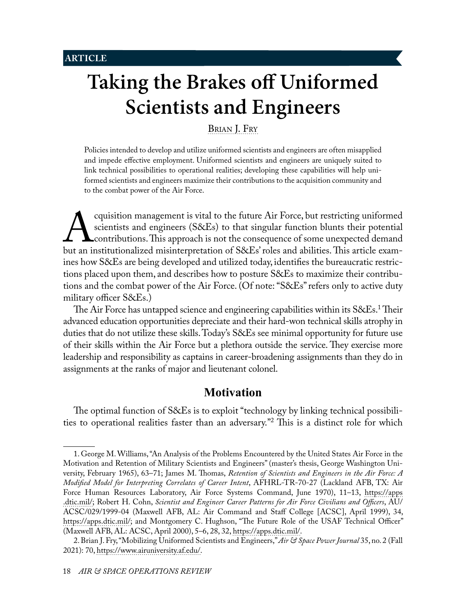# **Taking the Brakes off Uniformed Scientists and Engineers**

<span id="page-0-0"></span>[Brian J. Fry](#page-15-0)

Policies intended to develop and utilize uniformed scientists and engineers are often misapplied and impede effective employment. Uniformed scientists and engineers are uniquely suited to link technical possibilities to operational realities; developing these capabilities will help uniformed scientists and engineers maximize their contributions to the acquisition community and to the combat power of the Air Force.

Equisition management is vital to the future Air Force, but restricting uniformed<br>
scientists and engineers (S&Es) to that singular function blunts their potential<br>
but an institutionalized misinterpretation of S&Es' roles scientists and engineers (S&Es) to that singular function blunts their potential contributions. This approach is not the consequence of some unexpected demand ines how S&Es are being developed and utilized today, identifies the bureaucratic restrictions placed upon them, and describes how to posture S&Es to maximize their contributions and the combat power of the Air Force. (Of note: "S&Es" refers only to active duty military officer S&Es.)

The Air Force has untapped science and engineering capabilities within its S&Es.1 Their advanced education opportunities depreciate and their hard-won technical skills atrophy in duties that do not utilize these skills. Today's S&Es see minimal opportunity for future use of their skills within the Air Force but a plethora outside the service. They exercise more leadership and responsibility as captains in career-broadening assignments than they do in assignments at the ranks of major and lieutenant colonel.

# **Motivation**

The optimal function of S&Es is to exploit "technology by linking technical possibilities to operational realities faster than an adversary."2 This is a distinct role for which

<sup>1.</sup> George M. Williams, "An Analysis of the Problems Encountered by the United States Air Force in the Motivation and Retention of Military Scientists and Engineers" (master's thesis, George Washington University, February 1965), 63–71; James M. Thomas, *Retention of Scientists and Engineers in the Air Force: A Modified Model for Interpreting Correlates of Career Intent*, AFHRL-TR-70-27 (Lackland AFB, TX: Air Force Human Resources Laboratory, Air Force Systems Command, June 1970), 11–13, [https://apps](https://apps.dtic.mil/sti/pdfs/AD0714550.pdf) [.dtic.mil/](https://apps.dtic.mil/sti/pdfs/AD0714550.pdf); Robert H. Cohn, *Scientist and Engineer Career Patterns for Air Force Civilians and Officers*, AU/ ACSC/029/1999-04 (Maxwell AFB, AL: Air Command and Staff College [ACSC], April 1999), 34, [https://apps.dtic.mil/;](https://apps.dtic.mil/sti/citations/ADA395760) and Montgomery C. Hughson, "The Future Role of the USAF Technical Officer" (Maxwell AFB, AL: ACSC, April 2000), 5–6, 28, 32, [https://apps.dtic.mil/](https://apps.dtic.mil/sti/citations/ADA394075).

<sup>2.</sup> Brian J. Fry, "Mobilizing Uniformed Scientists and Engineers," *Air & Space Power Journal* 35, no. 2 (Fall 2021): 70, [https://www.airuniversity.af.edu/](https://www.airuniversity.af.edu/Portals/10/ASPJ/journals/Volume-35_Issue-3/T-Fry.pdf).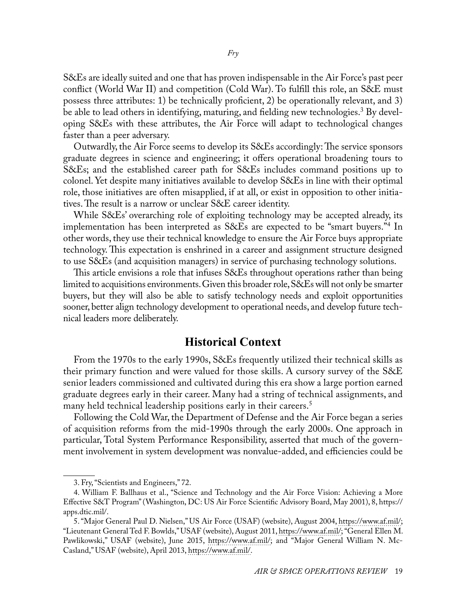S&Es are ideally suited and one that has proven indispensable in the Air Force's past peer conflict (World War II) and competition (Cold War). To fulfill this role, an S&E must possess three attributes: 1) be technically proficient, 2) be operationally relevant, and 3) be able to lead others in identifying, maturing, and fielding new technologies.<sup>3</sup> By developing S&Es with these attributes, the Air Force will adapt to technological changes faster than a peer adversary.

Outwardly, the Air Force seems to develop its S&Es accordingly: The service sponsors graduate degrees in science and engineering; it offers operational broadening tours to S&Es; and the established career path for S&Es includes command positions up to colonel. Yet despite many initiatives available to develop S&Es in line with their optimal role, those initiatives are often misapplied, if at all, or exist in opposition to other initiatives. The result is a narrow or unclear S&E career identity.

While S&Es' overarching role of exploiting technology may be accepted already, its implementation has been interpreted as S&Es are expected to be "smart buyers."4 In other words, they use their technical knowledge to ensure the Air Force buys appropriate technology. This expectation is enshrined in a career and assignment structure designed to use S&Es (and acquisition managers) in service of purchasing technology solutions.

This article envisions a role that infuses S&Es throughout operations rather than being limited to acquisitions environments. Given this broader role, S&Es will not only be smarter buyers, but they will also be able to satisfy technology needs and exploit opportunities sooner, better align technology development to operational needs, and develop future technical leaders more deliberately.

## **Historical Context**

From the 1970s to the early 1990s, S&Es frequently utilized their technical skills as their primary function and were valued for those skills. A cursory survey of the S&E senior leaders commissioned and cultivated during this era show a large portion earned graduate degrees early in their career. Many had a string of technical assignments, and many held technical leadership positions early in their careers.<sup>5</sup>

Following the Cold War, the Department of Defense and the Air Force began a series of acquisition reforms from the mid-1990s through the early 2000s. One approach in particular, Total System Performance Responsibility, asserted that much of the government involvement in system development was nonvalue-added, and efficiencies could be

<sup>3.</sup> Fry, "Scientists and Engineers," 72.

<sup>4.</sup> William F. Ballhaus et al., "Science and Technology and the Air Force Vision: Achieving a More Effective S&T Program" (Washington, DC: US Air Force Scientific Advisory Board, May 2001), 8, [https://](https://apps.dtic.mil/sti/citations/ADA412995) [apps.dtic.mil/.](https://apps.dtic.mil/sti/citations/ADA412995)

<sup>5. &</sup>quot;Major General Paul D. Nielsen," US Air Force (USAF) (website), August 2004, [https://www.af.mil/;](https://www.af.mil/About-Us/Biographies/Display/Article/106078/major-general-paul-d-nielsen/) "Lieutenant General Ted F. Bowlds," USAF (website), August 2011, [https://www.af.mil/;](https://www.af.mil/About-Us/Biographies/Display/Article/104809/lieutenant-general-ted-f-bowlds/) "General Ellen M. Pawlikowski," USAF (website), June 2015, [https://www.af.mil/](https://www.af.mil/About-Us/Biographies/Display/Article/104867/general-ellen-m-pawlikowski/); and "Major General William N. Mc-Casland," USAF (website), April 2013, [https://www.af.mil/](https://www.af.mil/About-Us/Biographies/Display/Article/104776/major-general-william-n-mccasland/).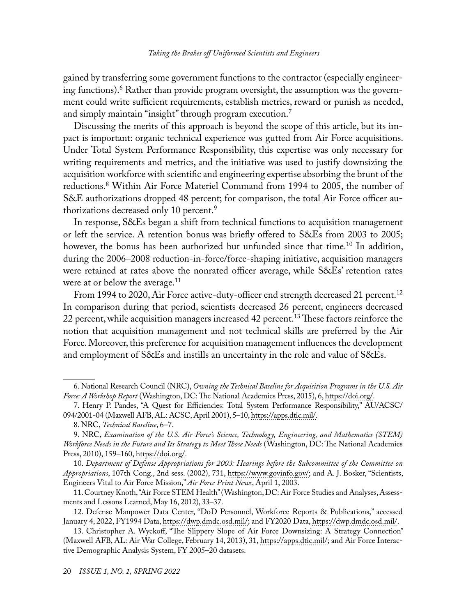gained by transferring some government functions to the contractor (especially engineering functions).6 Rather than provide program oversight, the assumption was the government could write sufficient requirements, establish metrics, reward or punish as needed, and simply maintain "insight" through program execution.7

Discussing the merits of this approach is beyond the scope of this article, but its impact is important: organic technical experience was gutted from Air Force acquisitions. Under Total System Performance Responsibility, this expertise was only necessary for writing requirements and metrics, and the initiative was used to justify downsizing the acquisition workforce with scientific and engineering expertise absorbing the brunt of the reductions.8 Within Air Force Materiel Command from 1994 to 2005, the number of S&E authorizations dropped 48 percent; for comparison, the total Air Force officer authorizations decreased only 10 percent.9

In response, S&Es began a shift from technical functions to acquisition management or left the service. A retention bonus was briefly offered to S&Es from 2003 to 2005; however, the bonus has been authorized but unfunded since that time.<sup>10</sup> In addition, during the 2006–2008 reduction-in-force/force-shaping initiative, acquisition managers were retained at rates above the nonrated officer average, while S&Es' retention rates were at or below the average.<sup>11</sup>

From 1994 to 2020, Air Force active-duty-officer end strength decreased 21 percent.<sup>12</sup> In comparison during that period, scientists decreased 26 percent, engineers decreased 22 percent, while acquisition managers increased 42 percent.<sup>13</sup> These factors reinforce the notion that acquisition management and not technical skills are preferred by the Air Force. Moreover, this preference for acquisition management influences the development and employment of S&Es and instills an uncertainty in the role and value of S&Es.

10. *Department of Defense Appropriations for 2003: Hearings before the Subcommittee of the Committee on Appropriations*, 107th Cong., 2nd sess. (2002), 731, [https://www.govinfo.gov/;](https://www.govinfo.gov/content/pkg/CHRG-107shrg78465/html/CHRG-107shrg78465.htm) and A. J. Bosker, "Scientists, Engineers Vital to Air Force Mission," *Air Force Print News*, April 1, 2003.

11. Courtney Knoth, "Air Force STEM Health" (Washington, DC: Air Force Studies and Analyses, Assessments and Lessons Learned, May 16, 2012), 33–37.

<sup>6.</sup> National Research Council (NRC), *Owning the Technical Baseline for Acquisition Programs in the U.S. Air Force: A Workshop Report* (Washington, DC: The National Academies Press, 2015), 6, [https://doi.org/](https://doi.org/10.17226/21752).

<sup>7.</sup> Henry P. Pandes, "A Quest for Efficiencies: Total System Performance Responsibility," AU/ACSC/ 094/2001-04 (Maxwell AFB, AL: ACSC, April 2001), 5–10, [https://apps.dtic.mil/.](https://apps.dtic.mil/sti/pdfs/ADA407267.pdf)

<sup>8.</sup> NRC, *Technical Baseline*, 6–7.

<sup>9.</sup> NRC, *Examination of the U.S. Air Force's Science, Technology, Engineering, and Mathematics (STEM) Workforce Needs in the Future and Its Strategy to Meet Those Needs* (Washington, DC: The National Academies Press, 2010), 159–160, [https://doi.org/.](https://doi.org/10.17226/12718)

<sup>12.</sup> Defense Manpower Data Center, "DoD Personnel, Workforce Reports & Publications," accessed January 4, 2022, FY1994 Data, [https://dwp.dmdc.osd.mil/](https://dwp.dmdc.osd.mil/dwp/api/download?fileName=AD_Strengths_FY1994-FY2012.xlsx&groupName=milTop); and FY2020 Data, [https://dwp.dmdc.osd.mil/.](https://dwp.dmdc.osd.mil/dwp/api/download?fileName=rg2009.pdf&groupName=milRankGrade)

<sup>13.</sup> Christopher A. Wyckoff, "The Slippery Slope of Air Force Downsizing: A Strategy Connection" (Maxwell AFB, AL: Air War College, February 14, 2013), 31, [https://apps.dtic.mil/](https://apps.dtic.mil/sti/citations/AD1018894); and Air Force Interactive Demographic Analysis System, FY 2005–20 datasets.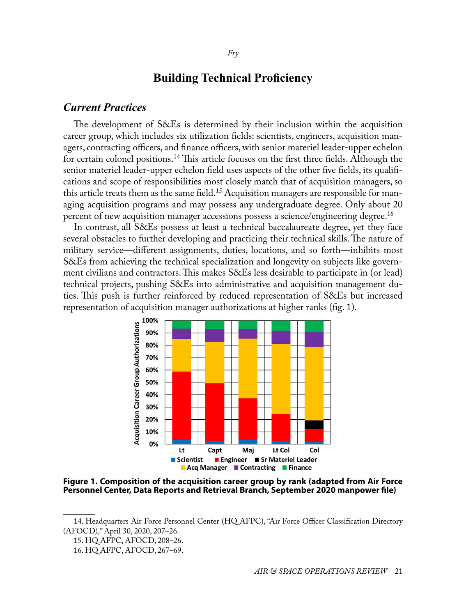# **Building Technical Proficiency**

## *Current Practices*

The development of S&Es is determined by their inclusion within the acquisition career group, which includes six utilization fields: scientists, engineers, acquisition managers, contracting officers, and finance officers, with senior materiel leader-upper echelon for certain colonel positions.<sup>14</sup> This article focuses on the first three fields. Although the senior materiel leader-upper echelon field uses aspects of the other five fields, its qualifications and scope of responsibilities most closely match that of acquisition managers, so this article treats them as the same field.<sup>15</sup> Acquisition managers are responsible for managing acquisition programs and may possess any undergraduate degree. Only about 20 percent of new acquisition manager accessions possess a science/engineering degree.16

In contrast, all S&Es possess at least a technical baccalaureate degree, yet they face several obstacles to further developing and practicing their technical skills. The nature of military service—different assignments, duties, locations, and so forth—inhibits most S&Es from achieving the technical specialization and longevity on subjects like government civilians and contractors. This makes S&Es less desirable to participate in (or lead) technical projects, pushing S&Es into administrative and acquisition management duties. This push is further reinforced by reduced representation of S&Es but increased representation of acquisition manager authorizations at higher ranks (fig. 1).



**Figure 1. Composition of the acquisition career group by rank (adapted from Air Force Personnel Center, Data Reports and Retrieval Branch, September 2020 manpower file)**

<sup>14.</sup> Headquarters Air Force Personnel Center (HQ AFPC), "Air Force Officer Classification Directory (AFOCD)," April 30, 2020, 207–26.

<sup>15.</sup> HQ AFPC, AFOCD, 208–26.

<sup>16.</sup> HQ AFPC, AFOCD, 267–69.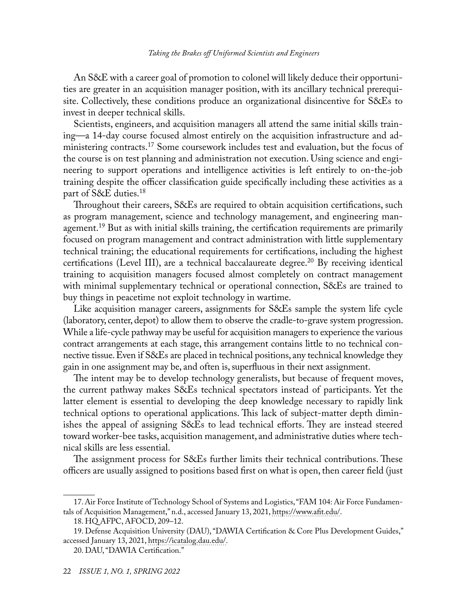An S&E with a career goal of promotion to colonel will likely deduce their opportunities are greater in an acquisition manager position, with its ancillary technical prerequisite. Collectively, these conditions produce an organizational disincentive for S&Es to invest in deeper technical skills.

Scientists, engineers, and acquisition managers all attend the same initial skills training—a 14-day course focused almost entirely on the acquisition infrastructure and administering contracts.<sup>17</sup> Some coursework includes test and evaluation, but the focus of the course is on test planning and administration not execution. Using science and engineering to support operations and intelligence activities is left entirely to on-the-job training despite the officer classification guide specifically including these activities as a part of S&E duties.18

Throughout their careers, S&Es are required to obtain acquisition certifications, such as program management, science and technology management, and engineering management.<sup>19</sup> But as with initial skills training, the certification requirements are primarily focused on program management and contract administration with little supplementary technical training; the educational requirements for certifications, including the highest certifications (Level III), are a technical baccalaureate degree.<sup>20</sup> By receiving identical training to acquisition managers focused almost completely on contract management with minimal supplementary technical or operational connection, S&Es are trained to buy things in peacetime not exploit technology in wartime.

Like acquisition manager careers, assignments for S&Es sample the system life cycle (laboratory, center, depot) to allow them to observe the cradle-to-grave system progression. While a life-cycle pathway may be useful for acquisition managers to experience the various contract arrangements at each stage, this arrangement contains little to no technical connective tissue. Even if S&Es are placed in technical positions, any technical knowledge they gain in one assignment may be, and often is, superfluous in their next assignment.

The intent may be to develop technology generalists, but because of frequent moves, the current pathway makes S&Es technical spectators instead of participants. Yet the latter element is essential to developing the deep knowledge necessary to rapidly link technical options to operational applications. This lack of subject-matter depth diminishes the appeal of assigning S&Es to lead technical efforts. They are instead steered toward worker-bee tasks, acquisition management, and administrative duties where technical skills are less essential.

The assignment process for S&Es further limits their technical contributions. These officers are usually assigned to positions based first on what is open, then career field (just

<sup>17.</sup> Air Force Institute of Technology School of Systems and Logistics, "FAM 104: Air Force Fundamentals of Acquisition Management," n.d., accessed January 13, 2021, [https://www.afit.edu/.](https://www.afit.edu/ls/course.cfm?c=313)

<sup>18.</sup> HQ AFPC, AFOCD, 209–12.

<sup>19.</sup> Defense Acquisition University (DAU), "DAWIA Certification & Core Plus Development Guides," accessed January 13, 2021, [https://icatalog.dau.edu/](https://icatalog.dau.edu/onlinecatalog/CareerLvl.aspx).

<sup>20.</sup> DAU, "DAWIA Certification."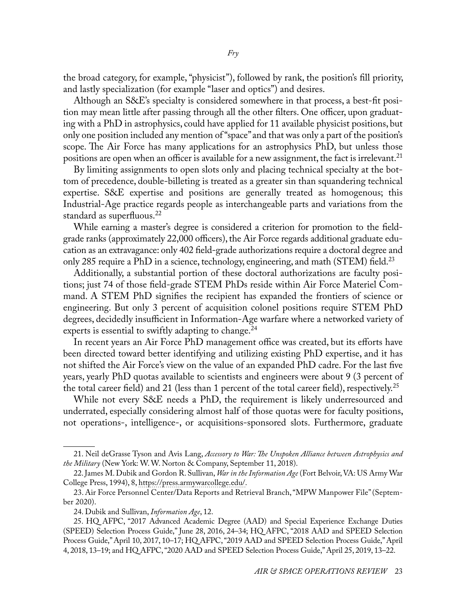the broad category, for example, "physicist"), followed by rank, the position's fill priority, and lastly specialization (for example "laser and optics") and desires.

Although an S&E's specialty is considered somewhere in that process, a best-fit position may mean little after passing through all the other filters. One officer, upon graduating with a PhD in astrophysics, could have applied for 11 available physicist positions, but only one position included any mention of "space" and that was only a part of the position's scope. The Air Force has many applications for an astrophysics PhD, but unless those positions are open when an officer is available for a new assignment, the fact is irrelevant.<sup>21</sup>

By limiting assignments to open slots only and placing technical specialty at the bottom of precedence, double-billeting is treated as a greater sin than squandering technical expertise. S&E expertise and positions are generally treated as homogenous; this Industrial-Age practice regards people as interchangeable parts and variations from the standard as superfluous.<sup>22</sup>

While earning a master's degree is considered a criterion for promotion to the fieldgrade ranks (approximately 22,000 officers), the Air Force regards additional graduate education as an extravagance: only 402 field-grade authorizations require a doctoral degree and only 285 require a PhD in a science, technology, engineering, and math (STEM) field.<sup>23</sup>

Additionally, a substantial portion of these doctoral authorizations are faculty positions; just 74 of those field-grade STEM PhDs reside within Air Force Materiel Command. A STEM PhD signifies the recipient has expanded the frontiers of science or engineering. But only 3 percent of acquisition colonel positions require STEM PhD degrees, decidedly insufficient in Information-Age warfare where a networked variety of experts is essential to swiftly adapting to change.<sup>24</sup>

In recent years an Air Force PhD management office was created, but its efforts have been directed toward better identifying and utilizing existing PhD expertise, and it has not shifted the Air Force's view on the value of an expanded PhD cadre. For the last five years, yearly PhD quotas available to scientists and engineers were about 9 (3 percent of the total career field) and 21 (less than 1 percent of the total career field), respectively.<sup>25</sup>

While not every S&E needs a PhD, the requirement is likely underresourced and underrated, especially considering almost half of those quotas were for faculty positions, not operations-, intelligence-, or acquisitions-sponsored slots. Furthermore, graduate

<sup>21.</sup> Neil deGrasse Tyson and Avis Lang, *Accessory to War: The Unspoken Alliance between Astrophysics and the Military* (New York: W. W. Norton & Company, September 11, 2018).

<sup>22.</sup> James M. Dubik and Gordon R. Sullivan, *War in the Information Age* (Fort Belvoir, VA: US Army War College Press, 1994), 8, [https://press.armywarcollege.edu/.](https://press.armywarcollege.edu/monographs/266)

<sup>23.</sup> Air Force Personnel Center/Data Reports and Retrieval Branch, "MPW Manpower File" (September 2020).

<sup>24.</sup> Dubik and Sullivan, *Information Age*, 12.

<sup>25.</sup> HQ AFPC, "2017 Advanced Academic Degree (AAD) and Special Experience Exchange Duties (SPEED) Selection Process Guide," June 28, 2016, 24–34; HQ AFPC, "2018 AAD and SPEED Selection Process Guide," April 10, 2017, 10–17; HQ AFPC, "2019 AAD and SPEED Selection Process Guide," April 4, 2018, 13–19; and HQ AFPC, "2020 AAD and SPEED Selection Process Guide," April 25, 2019, 13–22.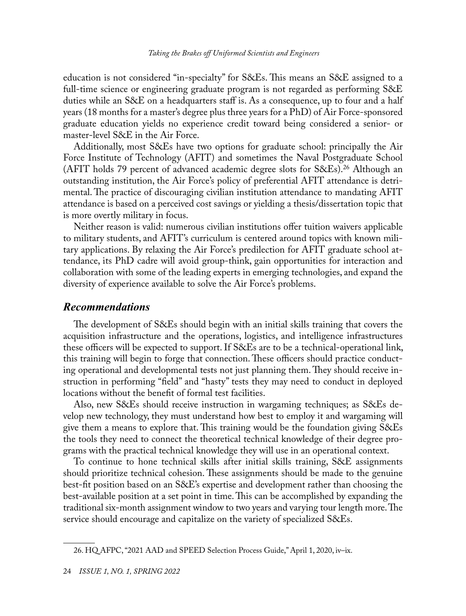education is not considered "in-specialty" for S&Es. This means an S&E assigned to a full-time science or engineering graduate program is not regarded as performing S&E duties while an S&E on a headquarters staff is. As a consequence, up to four and a half years (18 months for a master's degree plus three years for a PhD) of Air Force-sponsored graduate education yields no experience credit toward being considered a senior- or master-level S&E in the Air Force.

Additionally, most S&Es have two options for graduate school: principally the Air Force Institute of Technology (AFIT) and sometimes the Naval Postgraduate School (AFIT holds 79 percent of advanced academic degree slots for S&Es).<sup>26</sup> Although an outstanding institution, the Air Force's policy of preferential AFIT attendance is detrimental. The practice of discouraging civilian institution attendance to mandating AFIT attendance is based on a perceived cost savings or yielding a thesis/dissertation topic that is more overtly military in focus.

Neither reason is valid: numerous civilian institutions offer tuition waivers applicable to military students, and AFIT's curriculum is centered around topics with known military applications. By relaxing the Air Force's predilection for AFIT graduate school attendance, its PhD cadre will avoid group-think, gain opportunities for interaction and collaboration with some of the leading experts in emerging technologies, and expand the diversity of experience available to solve the Air Force's problems.

## *Recommendations*

The development of S&Es should begin with an initial skills training that covers the acquisition infrastructure and the operations, logistics, and intelligence infrastructures these officers will be expected to support. If S&Es are to be a technical-operational link, this training will begin to forge that connection. These officers should practice conducting operational and developmental tests not just planning them. They should receive instruction in performing "field" and "hasty" tests they may need to conduct in deployed locations without the benefit of formal test facilities.

Also, new S&Es should receive instruction in wargaming techniques; as S&Es develop new technology, they must understand how best to employ it and wargaming will give them a means to explore that. This training would be the foundation giving S&Es the tools they need to connect the theoretical technical knowledge of their degree programs with the practical technical knowledge they will use in an operational context.

To continue to hone technical skills after initial skills training, S&E assignments should prioritize technical cohesion. These assignments should be made to the genuine best-fit position based on an S&E's expertise and development rather than choosing the best-available position at a set point in time. This can be accomplished by expanding the traditional six-month assignment window to two years and varying tour length more. The service should encourage and capitalize on the variety of specialized S&Es.

<sup>26.</sup> HQ AFPC, "2021 AAD and SPEED Selection Process Guide," April 1, 2020, iv–ix.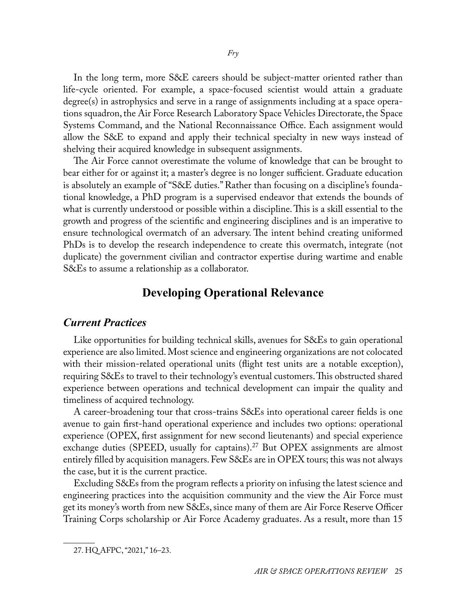In the long term, more S&E careers should be subject-matter oriented rather than life-cycle oriented. For example, a space-focused scientist would attain a graduate degree(s) in astrophysics and serve in a range of assignments including at a space operations squadron, the Air Force Research Laboratory Space Vehicles Directorate, the Space Systems Command, and the National Reconnaissance Office. Each assignment would allow the S&E to expand and apply their technical specialty in new ways instead of shelving their acquired knowledge in subsequent assignments.

The Air Force cannot overestimate the volume of knowledge that can be brought to bear either for or against it; a master's degree is no longer sufficient. Graduate education is absolutely an example of "S&E duties." Rather than focusing on a discipline's foundational knowledge, a PhD program is a supervised endeavor that extends the bounds of what is currently understood or possible within a discipline. This is a skill essential to the growth and progress of the scientific and engineering disciplines and is an imperative to ensure technological overmatch of an adversary. The intent behind creating uniformed PhDs is to develop the research independence to create this overmatch, integrate (not duplicate) the government civilian and contractor expertise during wartime and enable S&Es to assume a relationship as a collaborator.

## **Developing Operational Relevance**

### *Current Practices*

Like opportunities for building technical skills, avenues for S&Es to gain operational experience are also limited. Most science and engineering organizations are not colocated with their mission-related operational units (flight test units are a notable exception), requiring S&Es to travel to their technology's eventual customers. This obstructed shared experience between operations and technical development can impair the quality and timeliness of acquired technology.

A career-broadening tour that cross-trains S&Es into operational career fields is one avenue to gain first-hand operational experience and includes two options: operational experience (OPEX, first assignment for new second lieutenants) and special experience exchange duties (SPEED, usually for captains).<sup>27</sup> But OPEX assignments are almost entirely filled by acquisition managers. Few S&Es are in OPEX tours; this was not always the case, but it is the current practice.

Excluding S&Es from the program reflects a priority on infusing the latest science and engineering practices into the acquisition community and the view the Air Force must get its money's worth from new S&Es, since many of them are Air Force Reserve Officer Training Corps scholarship or Air Force Academy graduates. As a result, more than 15

<sup>27.</sup> HQ AFPC, "2021," 16–23.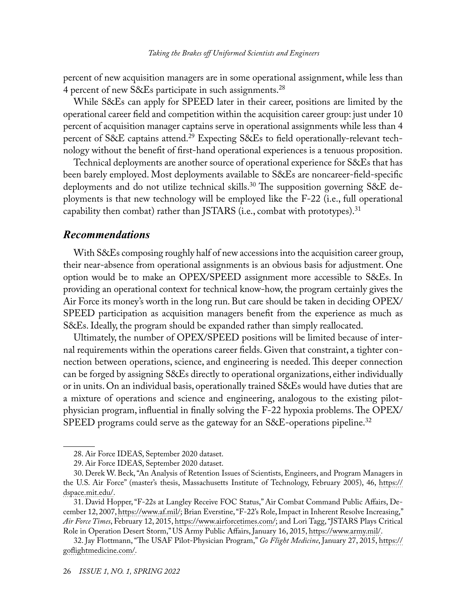percent of new acquisition managers are in some operational assignment, while less than 4 percent of new S&Es participate in such assignments.<sup>28</sup>

While S&Es can apply for SPEED later in their career, positions are limited by the operational career field and competition within the acquisition career group: just under 10 percent of acquisition manager captains serve in operational assignments while less than 4 percent of S&E captains attend.29 Expecting S&Es to field operationally-relevant technology without the benefit of first-hand operational experiences is a tenuous proposition.

Technical deployments are another source of operational experience for S&Es that has been barely employed. Most deployments available to S&Es are noncareer-field-specific deployments and do not utilize technical skills.<sup>30</sup> The supposition governing S&E deployments is that new technology will be employed like the F-22 (i.e., full operational capability then combat) rather than JSTARS (i.e., combat with prototypes).<sup>31</sup>

#### *Recommendations*

With S&Es composing roughly half of new accessions into the acquisition career group, their near-absence from operational assignments is an obvious basis for adjustment. One option would be to make an OPEX/SPEED assignment more accessible to S&Es. In providing an operational context for technical know-how, the program certainly gives the Air Force its money's worth in the long run. But care should be taken in deciding OPEX/ SPEED participation as acquisition managers benefit from the experience as much as S&Es. Ideally, the program should be expanded rather than simply reallocated.

Ultimately, the number of OPEX/SPEED positions will be limited because of internal requirements within the operations career fields. Given that constraint, a tighter connection between operations, science, and engineering is needed. This deeper connection can be forged by assigning S&Es directly to operational organizations, either individually or in units. On an individual basis, operationally trained S&Es would have duties that are a mixture of operations and science and engineering, analogous to the existing pilotphysician program, influential in finally solving the F-22 hypoxia problems. The OPEX/ SPEED programs could serve as the gateway for an S&E-operations pipeline.<sup>32</sup>

<sup>28.</sup> Air Force IDEAS, September 2020 dataset.

<sup>29.</sup> Air Force IDEAS, September 2020 dataset.

<sup>30.</sup> Derek W. Beck, "An Analysis of Retention Issues of Scientists, Engineers, and Program Managers in the U.S. Air Force" (master's thesis, Massachusetts Institute of Technology, February 2005), 46, [https://](https://dspace.mit.edu/handle/1721.1/34821) [dspace.mit.edu/](https://dspace.mit.edu/handle/1721.1/34821).

<sup>31.</sup> David Hopper, "F-22s at Langley Receive FOC Status," Air Combat Command Public Affairs, December 12, 2007, [https://www.af.mil/;](https://www.af.mil/News/Article-Display/Article/124869/f-22s-at-langley-receive-foc-status/) Brian Everstine, "F-22's Role, Impact in Inherent Resolve Increasing," *Air Force Times*, February 12, 2015, [https://www.airforcetimes.com/](https://www.airforcetimes.com/news/your-air-force/2015/02/12/f-22-s-role-impact-in-inherent-resolve-increasing/); and Lori Tagg, "JSTARS Plays Critical Role in Operation Desert Storm," US Army Public Affairs, January 16, 2015, [https://www.army.mil/.](https://www.army.mil/article/141322/jstars_plays_critical_role_in_operation_desert_storm)

<sup>32.</sup> Jay Flottmann, "The USAF Pilot-Physician Program," *Go Flight Medicine*, January 27, 2015, [https://](https://goflightmedicine.com/usaf-pilot-physician-program/) [goflightmedicine.com/.](https://goflightmedicine.com/usaf-pilot-physician-program/)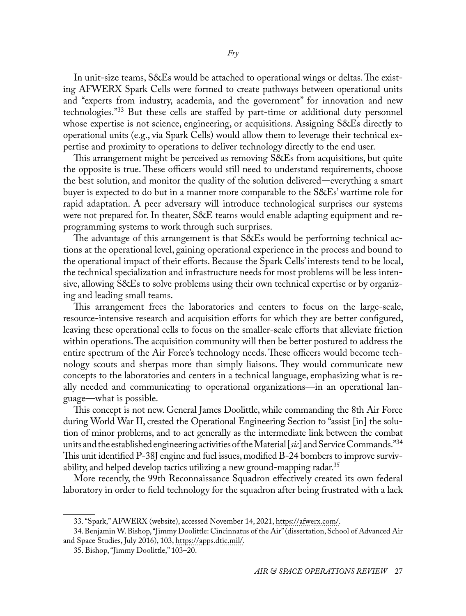In unit-size teams, S&Es would be attached to operational wings or deltas. The existing AFWERX Spark Cells were formed to create pathways between operational units and "experts from industry, academia, and the government" for innovation and new technologies."33 But these cells are staffed by part-time or additional duty personnel whose expertise is not science, engineering, or acquisitions. Assigning S&Es directly to operational units (e.g., via Spark Cells) would allow them to leverage their technical expertise and proximity to operations to deliver technology directly to the end user.

This arrangement might be perceived as removing S&Es from acquisitions, but quite the opposite is true. These officers would still need to understand requirements, choose the best solution, and monitor the quality of the solution delivered—everything a smart buyer is expected to do but in a manner more comparable to the S&Es' wartime role for rapid adaptation. A peer adversary will introduce technological surprises our systems were not prepared for. In theater, S&E teams would enable adapting equipment and reprogramming systems to work through such surprises.

The advantage of this arrangement is that S&Es would be performing technical actions at the operational level, gaining operational experience in the process and bound to the operational impact of their efforts. Because the Spark Cells' interests tend to be local, the technical specialization and infrastructure needs for most problems will be less intensive, allowing S&Es to solve problems using their own technical expertise or by organizing and leading small teams.

This arrangement frees the laboratories and centers to focus on the large-scale, resource-intensive research and acquisition efforts for which they are better configured, leaving these operational cells to focus on the smaller-scale efforts that alleviate friction within operations. The acquisition community will then be better postured to address the entire spectrum of the Air Force's technology needs. These officers would become technology scouts and sherpas more than simply liaisons. They would communicate new concepts to the laboratories and centers in a technical language, emphasizing what is really needed and communicating to operational organizations—in an operational language—what is possible.

This concept is not new. General James Doolittle, while commanding the 8th Air Force during World War II, created the Operational Engineering Section to "assist [in] the solution of minor problems, and to act generally as the intermediate link between the combat units and the established engineering activities of the Material [*sic*] and Service Commands."34 This unit identified P-38J engine and fuel issues, modified B-24 bombers to improve survivability, and helped develop tactics utilizing a new ground-mapping radar.<sup>35</sup>

More recently, the 99th Reconnaissance Squadron effectively created its own federal laboratory in order to field technology for the squadron after being frustrated with a lack

<sup>33. &</sup>quot;Spark," AFWERX (website), accessed November 14, 2021, [https://afwerx.com/](https://afwerx.com/spark_/).

<sup>34.</sup> Benjamin W. Bishop, "Jimmy Doolittle: Cincinnatus of the Air" (dissertation, School of Advanced Air and Space Studies, July 2016), 103, [https://apps.dtic.mil/.](https://apps.dtic.mil/sti/pdfs/AD1030388.pdf)

<sup>35.</sup> Bishop, "Jimmy Doolittle," 103–20.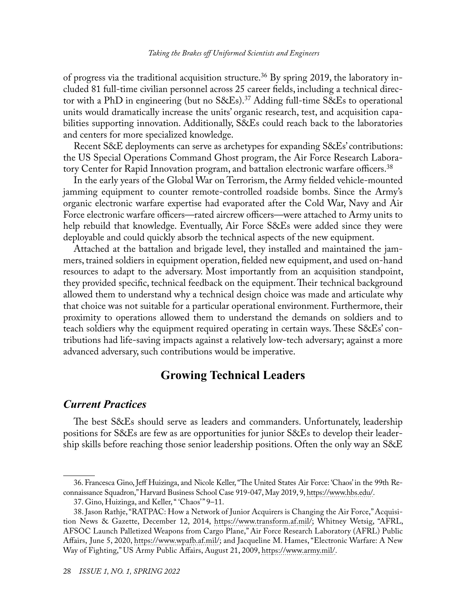of progress via the traditional acquisition structure.<sup>36</sup> By spring 2019, the laboratory included 81 full-time civilian personnel across 25 career fields, including a technical director with a PhD in engineering (but no  $S\&Es$ ).<sup>37</sup> Adding full-time  $S\&Es$  to operational units would dramatically increase the units' organic research, test, and acquisition capabilities supporting innovation. Additionally, S&Es could reach back to the laboratories and centers for more specialized knowledge.

Recent S&E deployments can serve as archetypes for expanding S&Es' contributions: the US Special Operations Command Ghost program, the Air Force Research Laboratory Center for Rapid Innovation program, and battalion electronic warfare officers.<sup>38</sup>

In the early years of the Global War on Terrorism, the Army fielded vehicle-mounted jamming equipment to counter remote-controlled roadside bombs. Since the Army's organic electronic warfare expertise had evaporated after the Cold War, Navy and Air Force electronic warfare officers—rated aircrew officers—were attached to Army units to help rebuild that knowledge. Eventually, Air Force S&Es were added since they were deployable and could quickly absorb the technical aspects of the new equipment.

Attached at the battalion and brigade level, they installed and maintained the jammers, trained soldiers in equipment operation, fielded new equipment, and used on-hand resources to adapt to the adversary. Most importantly from an acquisition standpoint, they provided specific, technical feedback on the equipment. Their technical background allowed them to understand why a technical design choice was made and articulate why that choice was not suitable for a particular operational environment. Furthermore, their proximity to operations allowed them to understand the demands on soldiers and to teach soldiers why the equipment required operating in certain ways. These S&Es' contributions had life-saving impacts against a relatively low-tech adversary; against a more advanced adversary, such contributions would be imperative.

# **Growing Technical Leaders**

## *Current Practices*

The best S&Es should serve as leaders and commanders. Unfortunately, leadership positions for S&Es are few as are opportunities for junior S&Es to develop their leadership skills before reaching those senior leadership positions. Often the only way an S&E

<sup>36.</sup> Francesca Gino, Jeff Huizinga, and Nicole Keller, "The United States Air Force: 'Chaos' in the 99th Reconnaissance Squadron," Harvard Business School Case 919-047, May 2019, 9, [https://www.hbs.edu/](https://www.hbs.edu/faculty/Pages/item.aspx?num=56249).

<sup>37.</sup> Gino, Huizinga, and Keller, " 'Chaos'" 9-11.

<sup>38.</sup> Jason Rathje, "RATPAC: How a Network of Junior Acquirers is Changing the Air Force," Acquisition News & Gazette, December 12, 2014, [https://www.transform.af.mil/;](https://www.transform.af.mil/About/Display/Article/612249/ratpac-how-a-network-of-junior-acquirers-is-changing-the-air-force/) Whitney Wetsig, "AFRL, AFSOC Launch Palletized Weapons from Cargo Plane," Air Force Research Laboratory (AFRL) Public Affairs, June 5, 2020, [https://www.wpafb.af.mil/](https://www.wpafb.af.mil/News/Article-Display/Article/2198566/afrl-afsoc-launch-palletized-weapons-from-cargo-plane/); and Jacqueline M. Hames, "Electronic Warfare: A New Way of Fighting," US Army Public Affairs, August 21, 2009, [https://www.army.mil/](https://www.army.mil/article/26408/electronic_warfare_a_new_way_of_fighting).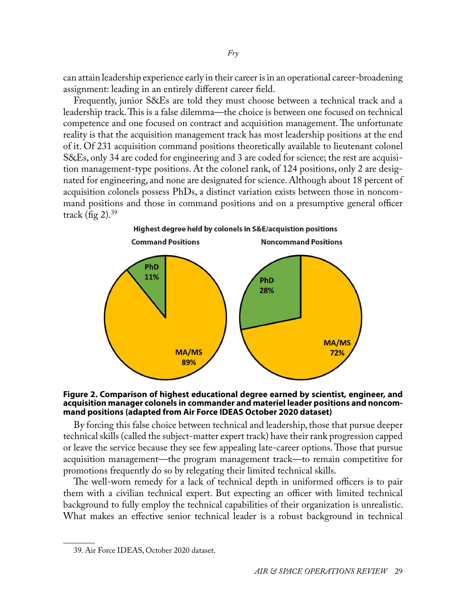can attain leadership experience early in their career is in an operational career-broadening assignment: leading in an entirely different career field.

Frequently, junior S&Es are told they must choose between a technical track and a leadership track. This is a false dilemma—the choice is between one focused on technical competence and one focused on contract and acquisition management. The unfortunate reality is that the acquisition management track has most leadership positions at the end of it. Of 231 acquisition command positions theoretically available to lieutenant colonel S&Es, only 34 are coded for engineering and 3 are coded for science; the rest are acquisition management-type positions. At the colonel rank, of 124 positions, only 2 are designated for engineering, and none are designated for science. Although about 18 percent of acquisition colonels possess PhDs, a distinct variation exists between those in noncommand positions and those in command positions and on a presumptive general officer track (fig  $2$ ).<sup>39</sup>



#### **Figure 2. Comparison of highest educational degree earned by scientist, engineer, and acquisition manager colonels in commander and materiel leader positions and noncommand positions (adapted from Air Force IDEAS October 2020 dataset)**

By forcing this false choice between technical and leadership, those that pursue deeper technical skills (called the subject-matter expert track) have their rank progression capped or leave the service because they see few appealing late-career options. Those that pursue acquisition management—the program management track—to remain competitive for promotions frequently do so by relegating their limited technical skills.

The well-worn remedy for a lack of technical depth in uniformed officers is to pair them with a civilian technical expert. But expecting an officer with limited technical background to fully employ the technical capabilities of their organization is unrealistic. What makes an effective senior technical leader is a robust background in technical

<sup>39.</sup> Air Force IDEAS, October 2020 dataset.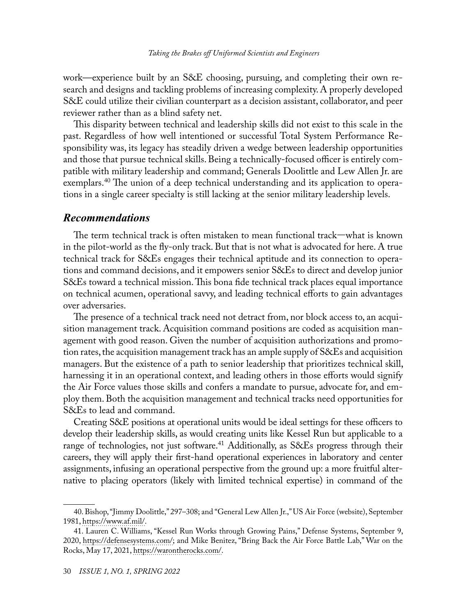work—experience built by an S&E choosing, pursuing, and completing their own research and designs and tackling problems of increasing complexity. A properly developed S&E could utilize their civilian counterpart as a decision assistant, collaborator, and peer reviewer rather than as a blind safety net.

This disparity between technical and leadership skills did not exist to this scale in the past. Regardless of how well intentioned or successful Total System Performance Responsibility was, its legacy has steadily driven a wedge between leadership opportunities and those that pursue technical skills. Being a technically-focused officer is entirely compatible with military leadership and command; Generals Doolittle and Lew Allen Jr. are exemplars.40 The union of a deep technical understanding and its application to operations in a single career specialty is still lacking at the senior military leadership levels.

#### *Recommendations*

The term technical track is often mistaken to mean functional track—what is known in the pilot-world as the fly-only track. But that is not what is advocated for here. A true technical track for S&Es engages their technical aptitude and its connection to operations and command decisions, and it empowers senior S&Es to direct and develop junior S&Es toward a technical mission. This bona fide technical track places equal importance on technical acumen, operational savvy, and leading technical efforts to gain advantages over adversaries.

The presence of a technical track need not detract from, nor block access to, an acquisition management track. Acquisition command positions are coded as acquisition management with good reason. Given the number of acquisition authorizations and promotion rates, the acquisition management track has an ample supply of S&Es and acquisition managers. But the existence of a path to senior leadership that prioritizes technical skill, harnessing it in an operational context, and leading others in those efforts would signify the Air Force values those skills and confers a mandate to pursue, advocate for, and employ them. Both the acquisition management and technical tracks need opportunities for S&Es to lead and command.

Creating S&E positions at operational units would be ideal settings for these officers to develop their leadership skills, as would creating units like Kessel Run but applicable to a range of technologies, not just software.<sup>41</sup> Additionally, as S&Es progress through their careers, they will apply their first-hand operational experiences in laboratory and center assignments, infusing an operational perspective from the ground up: a more fruitful alternative to placing operators (likely with limited technical expertise) in command of the

<sup>40.</sup> Bishop, "Jimmy Doolittle," 297–308; and "General Lew Allen Jr.," US Air Force (website), September 1981, [https://www.af.mil/](https://www.af.mil/About-Us/Biographies/Display/Article/107824/general-lew-allen-jr/).

<sup>41.</sup> Lauren C. Williams, "Kessel Run Works through Growing Pains," Defense Systems, September 9, 2020, [https://defensesystems.com/;](https://defensesystems.com/it-infrastructure/2020/09/kessel-run-works-through-growing-pains/194802/) and Mike Benitez, "Bring Back the Air Force Battle Lab," War on the Rocks, May 17, 2021, [https://warontherocks.com/](https://warontherocks.com/2021/05/bring-back-the-air-force-battle-lab/).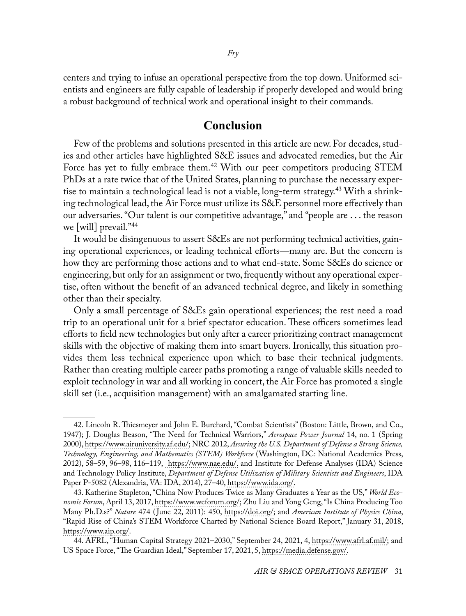centers and trying to infuse an operational perspective from the top down. Uniformed scientists and engineers are fully capable of leadership if properly developed and would bring a robust background of technical work and operational insight to their commands.

## **Conclusion**

Few of the problems and solutions presented in this article are new. For decades, studies and other articles have highlighted S&E issues and advocated remedies, but the Air Force has yet to fully embrace them.<sup>42</sup> With our peer competitors producing STEM PhDs at a rate twice that of the United States, planning to purchase the necessary expertise to maintain a technological lead is not a viable, long-term strategy.<sup>43</sup> With a shrinking technological lead, the Air Force must utilize its S&E personnel more effectively than our adversaries. "Our talent is our competitive advantage," and "people are . . . the reason we [will] prevail."44

It would be disingenuous to assert S&Es are not performing technical activities, gaining operational experiences, or leading technical efforts—many are. But the concern is how they are performing those actions and to what end-state. Some S&Es do science or engineering, but only for an assignment or two, frequently without any operational expertise, often without the benefit of an advanced technical degree, and likely in something other than their specialty.

Only a small percentage of S&Es gain operational experiences; the rest need a road trip to an operational unit for a brief spectator education. These officers sometimes lead efforts to field new technologies but only after a career prioritizing contract management skills with the objective of making them into smart buyers. Ironically, this situation provides them less technical experience upon which to base their technical judgments. Rather than creating multiple career paths promoting a range of valuable skills needed to exploit technology in war and all working in concert, the Air Force has promoted a single skill set (i.e., acquisition management) with an amalgamated starting line.

<sup>42.</sup> Lincoln R. Thiesmeyer and John E. Burchard, "Combat Scientists" (Boston: Little, Brown, and Co., 1947); J. Douglas Beason, "The Need for Technical Warriors," *Aerospace Power Journal* 14, no. 1 (Spring 2000), [https://www.airuniversity.af.edu/;](https://www.airuniversity.af.edu/Portals/10/ASPJ/journals/Volume-14_Issue-1-4/2000_Vol14_No1.pdf) NRC 2012, *Assuring the U.S. Department of Defense a Strong Science, Technology, Engineering, and Mathematics (STEM) Workforce* (Washington, DC: National Academies Press, 2012), 58–59, 96–98, 116–119, [https://www.nae.edu/.](https://www.nae.edu/64795/Assuring-the-US-Department-of-Defense-a-Strong-Science-Technology-Engineering-and-Mathematics-STEM-Workforce) and Institute for Defense Analyses (IDA) Science and Technology Policy Institute, *Department of Defense Utilization of Military Scientists and Engineers*, IDA Paper P-5082 (Alexandria, VA: IDA, 2014), 27–40, [https://www.ida.org/.](https://www.ida.org/research-and-publications/publications/all/i/id/ida-p-5082-department-of-defense-utilization-of-military-scientists-and-engineers)

<sup>43.</sup> Katherine Stapleton, "China Now Produces Twice as Many Graduates a Year as the US," *World Economic Forum*, April 13, 2017, [https://www.weforum.org/;](https://www.weforum.org/agenda/2017/04/higher-education-in-china-has-boomed-in-the-last-decade) Zhu Liu and Yong Geng, "Is China Producing Too Many Ph.D.s?" *Nature* 474 ( June 22, 2011): 450, [https://doi.org/;](https://doi.org/10.1038/474450b) and *American Institute of Physics China*, "Rapid Rise of China's STEM Workforce Charted by National Science Board Report," January 31, 2018, [https://www.aip.org/](https://www.aip.org/fyi/2018/rapid-rise-china%E2%80%99s-stem-workforce-charted-national-science-board-report).

<sup>44.</sup> AFRL, "Human Capital Strategy 2021–2030," September 24, 2021, 4, [https://www.afrl.af.mil/](https://www.afrl.af.mil/Portals/90/Documents/HQ/AFRL%20Human%20Capital%20Strategy%20-%20Distro%20A.pdf?ver=54MbVL7XIjFs9n1vRFF3yg%3d%3d); and US Space Force, "The Guardian Ideal," September 17, 2021, 5, [https://media.defense.gov/](https://media.defense.gov/2021/Sep/21/2002858512/-1/-1/1/GUARDIAN%20IDEAL%20-%20FINAL.PDF).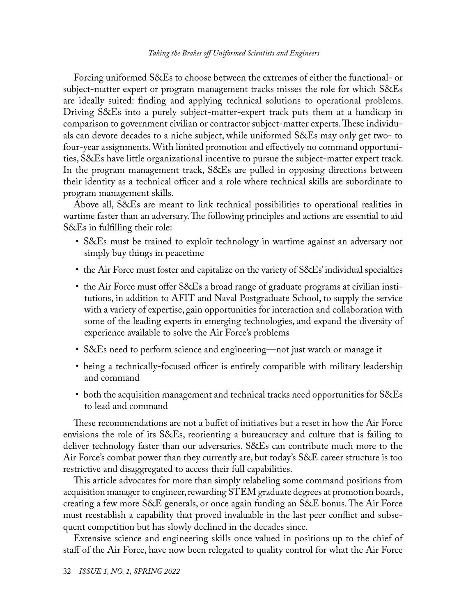#### *Taking the Brakes off Uniformed Scientists and Engineers*

Forcing uniformed S&Es to choose between the extremes of either the functional- or subject-matter expert or program management tracks misses the role for which S&Es are ideally suited: finding and applying technical solutions to operational problems. Driving S&Es into a purely subject-matter-expert track puts them at a handicap in comparison to government civilian or contractor subject-matter experts. These individuals can devote decades to a niche subject, while uniformed S&Es may only get two- to four-year assignments. With limited promotion and effectively no command opportunities, S&Es have little organizational incentive to pursue the subject-matter expert track. In the program management track, S&Es are pulled in opposing directions between their identity as a technical officer and a role where technical skills are subordinate to program management skills.

Above all, S&Es are meant to link technical possibilities to operational realities in wartime faster than an adversary. The following principles and actions are essential to aid S&Es in fulfilling their role:

- S&Es must be trained to exploit technology in wartime against an adversary not simply buy things in peacetime
- the Air Force must foster and capitalize on the variety of S&Es' individual specialties
- the Air Force must offer S&Es a broad range of graduate programs at civilian institutions, in addition to AFIT and Naval Postgraduate School, to supply the service with a variety of expertise, gain opportunities for interaction and collaboration with some of the leading experts in emerging technologies, and expand the diversity of experience available to solve the Air Force's problems
- S&Es need to perform science and engineering—not just watch or manage it
- being a technically-focused officer is entirely compatible with military leadership and command
- both the acquisition management and technical tracks need opportunities for S&Es to lead and command

These recommendations are not a buffet of initiatives but a reset in how the Air Force envisions the role of its S&Es, reorienting a bureaucracy and culture that is failing to deliver technology faster than our adversaries. S&Es can contribute much more to the Air Force's combat power than they currently are, but today's S&E career structure is too restrictive and disaggregated to access their full capabilities.

This article advocates for more than simply relabeling some command positions from acquisition manager to engineer, rewarding STEM graduate degrees at promotion boards, creating a few more S&E generals, or once again funding an S&E bonus. The Air Force must reestablish a capability that proved invaluable in the last peer conflict and subsequent competition but has slowly declined in the decades since.

Extensive science and engineering skills once valued in positions up to the chief of staff of the Air Force, have now been relegated to quality control for what the Air Force